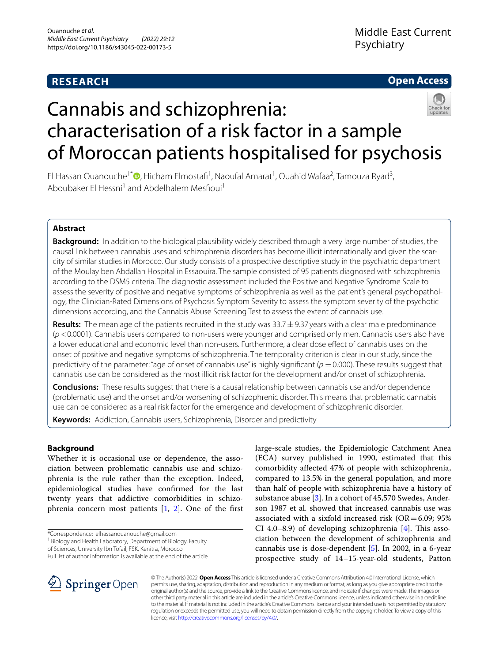# **RESEARCH**

# **Open Access**



# Cannabis and schizophrenia: characterisation of a risk factor in a sample of Moroccan patients hospitalised for psychosis

El Hassan Ouanouche<sup>1[\\*](http://orcid.org/0000-0002-1219-619X)</sup> <sup>(b</sup>, Hicham Elmostafi<sup>1</sup>, Naoufal Amarat<sup>1</sup>, Ouahid Wafaa<sup>2</sup>, Tamouza Ryad<sup>3</sup>, Aboubaker El Hessni<sup>1</sup> and Abdelhalem Mesfioui<sup>1</sup>

# **Abstract**

**Background:** In addition to the biological plausibility widely described through a very large number of studies, the causal link between cannabis uses and schizophrenia disorders has become illicit internationally and given the scarcity of similar studies in Morocco. Our study consists of a prospective descriptive study in the psychiatric department of the Moulay ben Abdallah Hospital in Essaouira. The sample consisted of 95 patients diagnosed with schizophrenia according to the DSM5 criteria. The diagnostic assessment included the Positive and Negative Syndrome Scale to assess the severity of positive and negative symptoms of schizophrenia as well as the patient's general psychopathology, the Clinician-Rated Dimensions of Psychosis Symptom Severity to assess the symptom severity of the psychotic dimensions according, and the Cannabis Abuse Screening Test to assess the extent of cannabis use.

**Results:** The mean age of the patients recruited in the study was 33.7±9.37 years with a clear male predominance (*p* <0.0001). Cannabis users compared to non-users were younger and comprised only men. Cannabis users also have a lower educational and economic level than non-users. Furthermore, a clear dose efect of cannabis uses on the onset of positive and negative symptoms of schizophrenia. The temporality criterion is clear in our study, since the predictivity of the parameter: "age of onset of cannabis use" is highly significant ( $p = 0.000$ ). These results suggest that cannabis use can be considered as the most illicit risk factor for the development and/or onset of schizophrenia.

**Conclusions:** These results suggest that there is a causal relationship between cannabis use and/or dependence (problematic use) and the onset and/or worsening of schizophrenic disorder. This means that problematic cannabis use can be considered as a real risk factor for the emergence and development of schizophrenic disorder.

**Keywords:** Addiction, Cannabis users, Schizophrenia, Disorder and predictivity

# **Background**

Whether it is occasional use or dependence, the association between problematic cannabis use and schizophrenia is the rule rather than the exception. Indeed, epidemiological studies have confrmed for the last twenty years that addictive comorbidities in schizophrenia concern most patients  $[1, 2]$  $[1, 2]$  $[1, 2]$  $[1, 2]$ . One of the first

\*Correspondence: elhassanouanouche@gmail.com

of Sciences, University Ibn Tofail, FSK, Kenitra, Morocco Full list of author information is available at the end of the article



large-scale studies, the Epidemiologic Catchment Anea (ECA) survey published in 1990, estimated that this comorbidity afected 47% of people with schizophrenia, compared to 13.5% in the general population, and more than half of people with schizophrenia have a history of substance abuse [[3\]](#page-7-2). In a cohort of 45,570 Swedes, Ander-



© The Author(s) 2022. **Open Access** This article is licensed under a Creative Commons Attribution 4.0 International License, which permits use, sharing, adaptation, distribution and reproduction in any medium or format, as long as you give appropriate credit to the original author(s) and the source, provide a link to the Creative Commons licence, and indicate if changes were made. The images or other third party material in this article are included in the article's Creative Commons licence, unless indicated otherwise in a credit line to the material. If material is not included in the article's Creative Commons licence and your intended use is not permitted by statutory regulation or exceeds the permitted use, you will need to obtain permission directly from the copyright holder. To view a copy of this licence, visit [http://creativecommons.org/licenses/by/4.0/.](http://creativecommons.org/licenses/by/4.0/)

<sup>&</sup>lt;sup>1</sup> Biology and Health Laboratory, Department of Biology, Faculty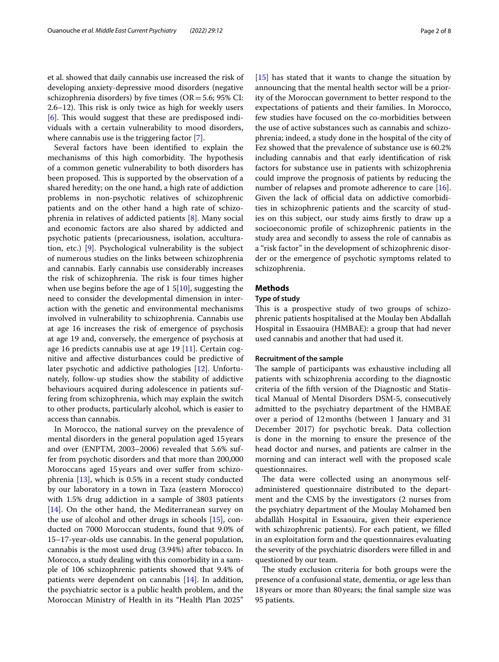et al. showed that daily cannabis use increased the risk of developing anxiety-depressive mood disorders (negative schizophrenia disorders) by five times ( $OR = 5.6$ ; 95% CI:  $2.6-12$ ). This risk is only twice as high for weekly users [[6\]](#page-7-5). This would suggest that these are predisposed individuals with a certain vulnerability to mood disorders, where cannabis use is the triggering factor [\[7](#page-7-6)].

Several factors have been identifed to explain the mechanisms of this high comorbidity. The hypothesis of a common genetic vulnerability to both disorders has been proposed. This is supported by the observation of a shared heredity; on the one hand, a high rate of addiction problems in non-psychotic relatives of schizophrenic patients and on the other hand a high rate of schizophrenia in relatives of addicted patients [\[8](#page-7-7)]. Many social and economic factors are also shared by addicted and psychotic patients (precariousness, isolation, acculturation, etc.) [\[9](#page-7-8)]. Psychological vulnerability is the subject of numerous studies on the links between schizophrenia and cannabis. Early cannabis use considerably increases the risk of schizophrenia. The risk is four times higher when use begins before the age of  $15[10]$  $15[10]$ , suggesting the need to consider the developmental dimension in interaction with the genetic and environmental mechanisms involved in vulnerability to schizophrenia. Cannabis use at age 16 increases the risk of emergence of psychosis at age 19 and, conversely, the emergence of psychosis at age 16 predicts cannabis use at age 19 [[11](#page-7-10)]. Certain cognitive and afective disturbances could be predictive of later psychotic and addictive pathologies [\[12\]](#page-7-11). Unfortunately, follow-up studies show the stability of addictive behaviours acquired during adolescence in patients suffering from schizophrenia, which may explain the switch to other products, particularly alcohol, which is easier to access than cannabis.

In Morocco, the national survey on the prevalence of mental disorders in the general population aged 15years and over (ENPTM, 2003–2006) revealed that 5.6% suffer from psychotic disorders and that more than 200,000 Moroccans aged 15 years and over suffer from schizophrenia [[13\]](#page-7-12), which is 0.5% in a recent study conducted by our laboratory in a town in Taza (eastern Morocco) with 1.5% drug addiction in a sample of 3803 patients [[14\]](#page-7-13). On the other hand, the Mediterranean survey on the use of alcohol and other drugs in schools [\[15](#page-7-14)], conducted on 7000 Moroccan students, found that 9.0% of 15–17-year-olds use cannabis. In the general population, cannabis is the most used drug (3.94%) after tobacco. In Morocco, a study dealing with this comorbidity in a sample of 106 schizophrenic patients showed that 9.4% of patients were dependent on cannabis [\[14\]](#page-7-13). In addition, the psychiatric sector is a public health problem, and the Moroccan Ministry of Health in its "Health Plan 2025"

[[15\]](#page-7-14) has stated that it wants to change the situation by announcing that the mental health sector will be a priority of the Moroccan government to better respond to the expectations of patients and their families. In Morocco, few studies have focused on the co-morbidities between the use of active substances such as cannabis and schizophrenia; indeed, a study done in the hospital of the city of Fez showed that the prevalence of substance use is 60.2% including cannabis and that early identifcation of risk factors for substance use in patients with schizophrenia could improve the prognosis of patients by reducing the number of relapses and promote adherence to care [\[16](#page-7-15)]. Given the lack of official data on addictive comorbidities in schizophrenic patients and the scarcity of studies on this subject, our study aims frstly to draw up a socioeconomic profle of schizophrenic patients in the study area and secondly to assess the role of cannabis as a "risk factor" in the development of schizophrenic disorder or the emergence of psychotic symptoms related to schizophrenia.

# **Methods**

# **Type of study**

This is a prospective study of two groups of schizophrenic patients hospitalised at the Moulay ben Abdallah Hospital in Essaouira (HMBAE): a group that had never used cannabis and another that had used it.

#### **Recruitment of the sample**

The sample of participants was exhaustive including all patients with schizophrenia according to the diagnostic criteria of the ffth version of the Diagnostic and Statistical Manual of Mental Disorders DSM-5, consecutively admitted to the psychiatry department of the HMBAE over a period of 12months (between 1 January and 31 December 2017) for psychotic break. Data collection is done in the morning to ensure the presence of the head doctor and nurses, and patients are calmer in the morning and can interact well with the proposed scale questionnaires.

The data were collected using an anonymous selfadministered questionnaire distributed to the department and the CMS by the investigators (2 nurses from the psychiatry department of the Moulay Mohamed ben abdallâh Hospital in Essaouira, given their experience with schizophrenic patients). For each patient, we flled in an exploitation form and the questionnaires evaluating the severity of the psychiatric disorders were flled in and questioned by our team.

The study exclusion criteria for both groups were the presence of a confusional state, dementia, or age less than 18years or more than 80years; the fnal sample size was 95 patients.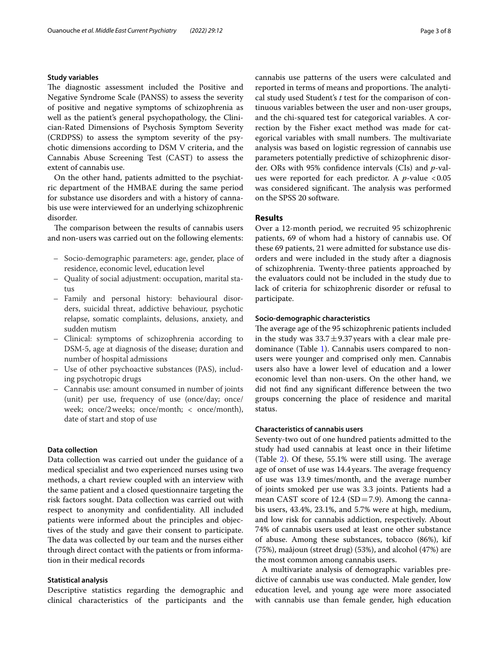# **Study variables**

The diagnostic assessment included the Positive and Negative Syndrome Scale (PANSS) to assess the severity of positive and negative symptoms of schizophrenia as well as the patient's general psychopathology, the Clinician-Rated Dimensions of Psychosis Symptom Severity (CRDPSS) to assess the symptom severity of the psychotic dimensions according to DSM V criteria, and the Cannabis Abuse Screening Test (CAST) to assess the extent of cannabis use.

On the other hand, patients admitted to the psychiatric department of the HMBAE during the same period for substance use disorders and with a history of cannabis use were interviewed for an underlying schizophrenic disorder.

The comparison between the results of cannabis users and non-users was carried out on the following elements:

- Socio-demographic parameters: age, gender, place of residence, economic level, education level
- Quality of social adjustment: occupation, marital status
- Family and personal history: behavioural disorders, suicidal threat, addictive behaviour, psychotic relapse, somatic complaints, delusions, anxiety, and sudden mutism
- Clinical: symptoms of schizophrenia according to DSM-5, age at diagnosis of the disease; duration and number of hospital admissions
- Use of other psychoactive substances (PAS), including psychotropic drugs
- Cannabis use: amount consumed in number of joints (unit) per use, frequency of use (once/day; once/ week; once/2weeks; once/month; < once/month), date of start and stop of use

#### **Data collection**

Data collection was carried out under the guidance of a medical specialist and two experienced nurses using two methods, a chart review coupled with an interview with the same patient and a closed questionnaire targeting the risk factors sought. Data collection was carried out with respect to anonymity and confdentiality. All included patients were informed about the principles and objectives of the study and gave their consent to participate. The data was collected by our team and the nurses either through direct contact with the patients or from information in their medical records

# **Statistical analysis**

Descriptive statistics regarding the demographic and clinical characteristics of the participants and the cannabis use patterns of the users were calculated and reported in terms of means and proportions. The analytical study used Student's *t* test for the comparison of continuous variables between the user and non-user groups, and the chi-squared test for categorical variables. A correction by the Fisher exact method was made for categorical variables with small numbers. The multivariate analysis was based on logistic regression of cannabis use parameters potentially predictive of schizophrenic disorder. ORs with 95% confdence intervals (CIs) and *p*-values were reported for each predictor. A *p*-value <0.05 was considered significant. The analysis was performed on the SPSS 20 software.

# **Results**

Over a 12-month period, we recruited 95 schizophrenic patients, 69 of whom had a history of cannabis use. Of these 69 patients, 21 were admitted for substance use disorders and were included in the study after a diagnosis of schizophrenia. Twenty-three patients approached by the evaluators could not be included in the study due to lack of criteria for schizophrenic disorder or refusal to participate.

### **Socio‑demographic characteristics**

The average age of the 95 schizophrenic patients included in the study was  $33.7 \pm 9.37$  years with a clear male predominance (Table [1\)](#page-3-0). Cannabis users compared to nonusers were younger and comprised only men. Cannabis users also have a lower level of education and a lower economic level than non-users. On the other hand, we did not fnd any signifcant diference between the two groups concerning the place of residence and marital status.

# **Characteristics of cannabis users**

Seventy-two out of one hundred patients admitted to the study had used cannabis at least once in their lifetime (Table  $2$ ). Of these, 55.1% were still using. The average age of onset of use was 14.4 years. The average frequency of use was 13.9 times/month, and the average number of joints smoked per use was 3.3 joints. Patients had a mean CAST score of 12.4 (SD=7.9). Among the cannabis users, 43.4%, 23.1%, and 5.7% were at high, medium, and low risk for cannabis addiction, respectively. About 74% of cannabis users used at least one other substance of abuse. Among these substances, tobacco (86%), kif (75%), maâjoun (street drug) (53%), and alcohol (47%) are the most common among cannabis users.

A multivariate analysis of demographic variables predictive of cannabis use was conducted. Male gender, low education level, and young age were more associated with cannabis use than female gender, high education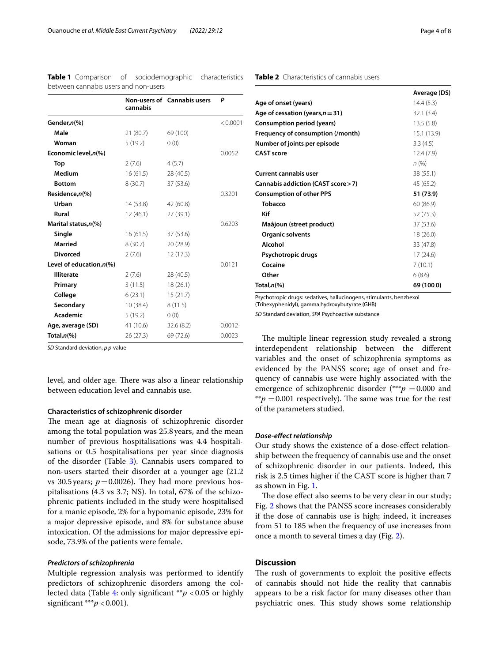|                             | cannabis  | Non-users of Cannabis users | P        |
|-----------------------------|-----------|-----------------------------|----------|
| Gender,n(%)                 |           |                             | < 0.0001 |
| Male                        | 21(80.7)  | 69 (100)                    |          |
| Woman                       | 5(19.2)   | 0(0)                        |          |
| Economic level, n(%)        |           |                             | 0.0052   |
| Top                         | 2(7.6)    | 4(5.7)                      |          |
| Medium                      | 16(61.5)  | 28 (40.5)                   |          |
| <b>Bottom</b>               | 8(30.7)   | 37 (53.6)                   |          |
| Residence,n(%)              |           |                             | 0.3201   |
| Urban                       | 14(53.8)  | 42 (60.8)                   |          |
| Rural                       | 12 (46.1) | 27 (39.1)                   |          |
| Marital status, n(%)        |           |                             | 0.6203   |
| Single                      | 16(61.5)  | 37 (53.6)                   |          |
| <b>Married</b>              | 8(30.7)   | 20 (28.9)                   |          |
| <b>Divorced</b>             | 2(7.6)    | 12 (17.3)                   |          |
| Level of education, $n$ (%) |           |                             | 0.0121   |
| <b>Illiterate</b>           | 2(7.6)    | 28 (40.5)                   |          |
| Primary                     | 3(11.5)   | 18(26.1)                    |          |
| College                     | 6(23.1)   | 15(21.7)                    |          |
| Secondary                   | 10(38.4)  | 8(11.5)                     |          |
| <b>Academic</b>             | 5(19.2)   | 0(0)                        |          |
| Age, average (SD)           | 41 (10.6) | 32.6(8.2)                   | 0.0012   |
| Total, $n\ll 0$             | 26(27.3)  | 69 (72.6)                   | 0.0023   |
|                             |           |                             |          |

<span id="page-3-0"></span>**Table 1** Comparison of sociodemographic characteristics between cannabis users and non-users

*SD* Standard deviation, *p p*-value

level, and older age. There was also a linear relationship between education level and cannabis use.

# **Characteristics of schizophrenic disorder**

The mean age at diagnosis of schizophrenic disorder among the total population was 25.8years, and the mean number of previous hospitalisations was 4.4 hospitalisations or 0.5 hospitalisations per year since diagnosis of the disorder (Table [3](#page-4-0)). Cannabis users compared to non-users started their disorder at a younger age (21.2 vs 30.5 years;  $p = 0.0026$ ). They had more previous hospitalisations (4.3 vs 3.7; NS). In total, 67% of the schizophrenic patients included in the study were hospitalised for a manic episode, 2% for a hypomanic episode, 23% for a major depressive episode, and 8% for substance abuse intoxication. Of the admissions for major depressive episode, 73.9% of the patients were female.

#### *Predictors of schizophrenia*

Multiple regression analysis was performed to identify predictors of schizophrenic disorders among the collected data (Table [4](#page-4-1): only signifcant \*\**p* <0.05 or highly significant \*\*\**p* < 0.001).

<span id="page-3-1"></span>

|                                     | Average (DS) |
|-------------------------------------|--------------|
| Age of onset (years)                | 14.4(5.3)    |
| Age of cessation (years, $n = 31$ ) | 32.1(3.4)    |
| Consumption period (years)          | 13.5(5.8)    |
| Frequency of consumption (/month)   | 15.1 (13.9)  |
| Number of joints per episode        | 3.3(4.5)     |
| <b>CAST score</b>                   | 12.4(7.9)    |
|                                     | n (%)        |
| <b>Current cannabis user</b>        | 38 (55.1)    |
| Cannabis addiction (CAST score > 7) | 45 (65.2)    |
| <b>Consumption of other PPS</b>     | 51 (73.9)    |
| Tobacco                             | 60 (86.9)    |
| Kif                                 | 52 (75.3)    |
| Maâjoun (street product)            | 37 (53.6)    |
| <b>Organic solvents</b>             | 18 (26.0)    |
| Alcohol                             | 33 (47.8)    |
| Psychotropic drugs                  | 17(24.6)     |
| Cocaine                             | 7(10.1)      |
| Other                               | 6(8.6)       |
| Total, $n$ (%)                      | 69 (100.0)   |

Psychotropic drugs: sedatives, hallucinogens, stimulants, benzhexol

(Trihexyphenidyl), gamma hydroxybutyrate (GHB)

*SD* Standard deviation, *SPA* Psychoactive substance

The multiple linear regression study revealed a strong interdependent relationship between the diferent variables and the onset of schizophrenia symptoms as evidenced by the PANSS score; age of onset and frequency of cannabis use were highly associated with the emergence of schizophrenic disorder (\*\*\**p* = 0.000 and  $*p = 0.001$  respectively). The same was true for the rest of the parameters studied.

#### *Dose‑efect relationship*

Our study shows the existence of a dose-efect relationship between the frequency of cannabis use and the onset of schizophrenic disorder in our patients. Indeed, this risk is 2.5 times higher if the CAST score is higher than 7 as shown in Fig. [1.](#page-5-0)

The dose effect also seems to be very clear in our study; Fig. [2](#page-5-1) shows that the PANSS score increases considerably if the dose of cannabis use is high; indeed, it increases from 51 to 185 when the frequency of use increases from once a month to several times a day (Fig. [2](#page-5-1)).

# **Discussion**

The rush of governments to exploit the positive effects of cannabis should not hide the reality that cannabis appears to be a risk factor for many diseases other than psychiatric ones. This study shows some relationship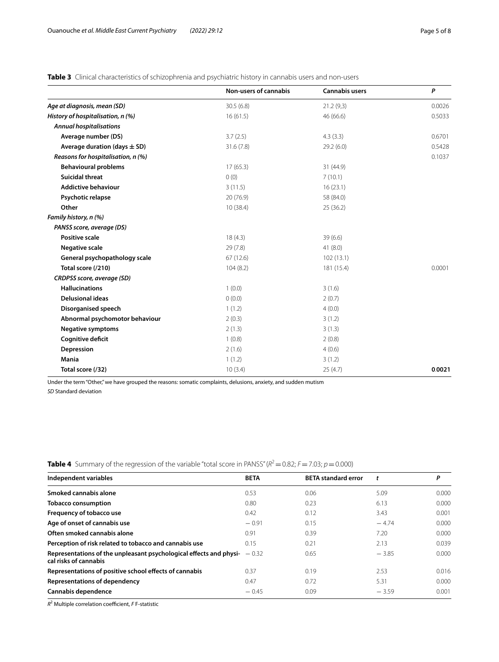<span id="page-4-0"></span>

|  | Table 3 Clinical characteristics of schizophrenia and psychiatric history in cannabis users and non-users |
|--|-----------------------------------------------------------------------------------------------------------|
|--|-----------------------------------------------------------------------------------------------------------|

|                                    | Non-users of cannabis | <b>Cannabis users</b> | P      |
|------------------------------------|-----------------------|-----------------------|--------|
| Age at diagnosis, mean (SD)        | 30.5(6.8)             | 21.2(9,3)             | 0.0026 |
| History of hospitalisation, n (%)  | 16(61.5)              | 46 (66.6)             | 0.5033 |
| <b>Annual hospitalisations</b>     |                       |                       |        |
| Average number (DS)                | 3.7(2.5)              | 4.3(3.3)              | 0.6701 |
| Average duration (days $\pm$ SD)   | 31.6(7.8)             | 29.2(6.0)             | 0.5428 |
| Reasons for hospitalisation, n (%) |                       |                       | 0.1037 |
| <b>Behavioural problems</b>        | 17(65.3)              | 31 (44.9)             |        |
| <b>Suicidal threat</b>             | 0(0)                  | 7(10.1)               |        |
| <b>Addictive behaviour</b>         | 3(11.5)               | 16(23.1)              |        |
| Psychotic relapse                  | 20(76.9)              | 58 (84.0)             |        |
| Other                              | 10(38.4)              | 25(36.2)              |        |
| Family history, n (%)              |                       |                       |        |
| PANSS score, average (DS)          |                       |                       |        |
| <b>Positive scale</b>              | 18(4.3)               | 39(6.6)               |        |
| <b>Negative scale</b>              | 29(7.8)               | 41(8.0)               |        |
| General psychopathology scale      | 67(12.6)              | 102(13.1)             |        |
| Total score (/210)                 | 104(8.2)              | 181 (15.4)            | 0.0001 |
| CRDPSS score, average (SD)         |                       |                       |        |
| <b>Hallucinations</b>              | 1(0.0)                | 3(1.6)                |        |
| <b>Delusional ideas</b>            | 0(0.0)                | 2(0.7)                |        |
| Disorganised speech                | 1(1.2)                | 4(0.0)                |        |
| Abnormal psychomotor behaviour     | 2(0.3)                | 3(1.2)                |        |
| <b>Negative symptoms</b>           | 2(1.3)                | 3(1.3)                |        |
| Cognitive deficit                  | 1(0.8)                | 2(0.8)                |        |
| Depression                         | 2(1.6)                | 4(0.6)                |        |
| Mania                              | 1(1.2)                | 3(1.2)                |        |
| Total score (/32)                  | 10(3.4)               | 25(4.7)               | 0.0021 |

Under the term "Other," we have grouped the reasons: somatic complaints, delusions, anxiety, and sudden mutism

*SD* Standard deviation

| <b>TWAIS</b> I DOMINION JOI GIO I CON COOPONI ON GIO I GITO ORIGINALE CO CON DOCTO IN INTERNATIONALE PRESENTENTIALE CON |             |                            |         |       |  |  |
|-------------------------------------------------------------------------------------------------------------------------|-------------|----------------------------|---------|-------|--|--|
| Independent variables                                                                                                   | <b>BETA</b> | <b>BETA standard error</b> |         | P     |  |  |
| Smoked cannabis alone                                                                                                   | 0.53        | 0.06                       | 5.09    | 0.000 |  |  |
| <b>Tobacco consumption</b>                                                                                              | 0.80        | 0.23                       | 6.13    | 0.000 |  |  |
| Frequency of tobacco use                                                                                                | 0.42        | 0.12                       | 3.43    | 0.001 |  |  |
| Age of onset of cannabis use                                                                                            | $-0.91$     | 0.15                       | $-4.74$ | 0.000 |  |  |
| Often smoked cannabis alone                                                                                             | 0.91        | 0.39                       | 7.20    | 0.000 |  |  |
| Perception of risk related to tobacco and cannabis use                                                                  | 0.15        | 0.21                       | 2.13    | 0.039 |  |  |
| Representations of the unpleasant psychological effects and physi-<br>cal risks of cannabis                             | $-0.32$     | 0.65                       | $-3.85$ | 0.000 |  |  |
| Representations of positive school effects of cannabis                                                                  | 0.37        | 0.19                       | 2.53    | 0.016 |  |  |
| <b>Representations of dependency</b>                                                                                    | 0.47        | 0.72                       | 5.31    | 0.000 |  |  |
| Cannabis dependence                                                                                                     | $-0.45$     | 0.09                       | $-3.59$ | 0.001 |  |  |

<span id="page-4-1"></span>**Table 4** Summary of the regression of the variable "total score in PANSS" ( $R^2 = 0.82$ ;  $F = 7.03$ ;  $p = 0.000$ )

*R*<sup>2</sup> Multiple correlation coefficient, *F* F-statistic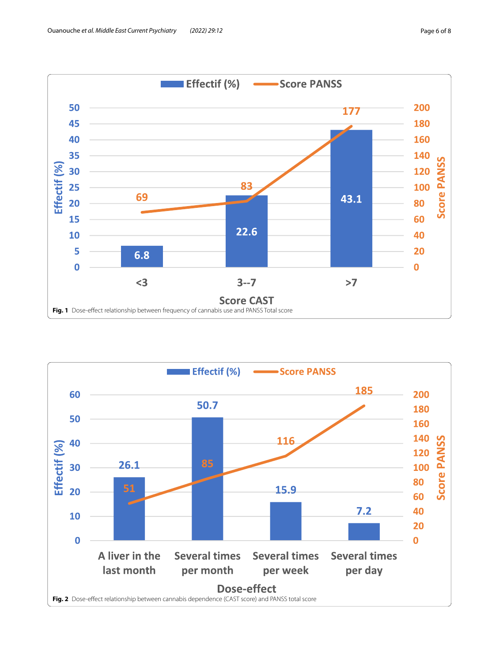

<span id="page-5-1"></span><span id="page-5-0"></span>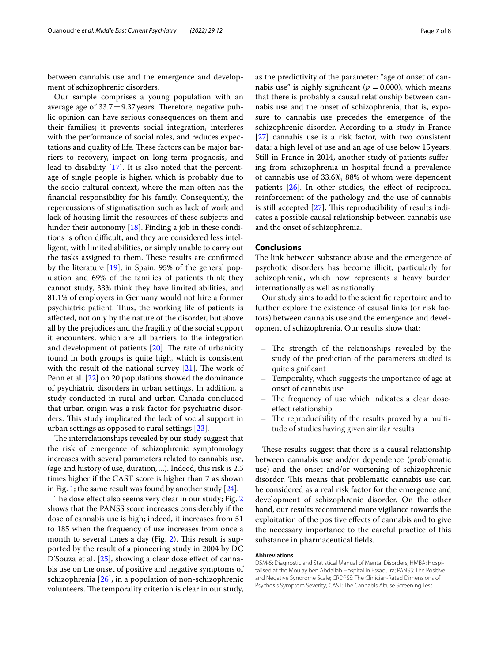between cannabis use and the emergence and development of schizophrenic disorders.

Our sample comprises a young population with an average age of  $33.7 \pm 9.37$  years. Therefore, negative public opinion can have serious consequences on them and their families; it prevents social integration, interferes with the performance of social roles, and reduces expectations and quality of life. These factors can be major barriers to recovery, impact on long-term prognosis, and lead to disability [\[17\]](#page-7-16). It is also noted that the percentage of single people is higher, which is probably due to the socio-cultural context, where the man often has the fnancial responsibility for his family. Consequently, the repercussions of stigmatisation such as lack of work and lack of housing limit the resources of these subjects and hinder their autonomy [\[18](#page-7-17)]. Finding a job in these conditions is often difficult, and they are considered less intelligent, with limited abilities, or simply unable to carry out the tasks assigned to them. These results are confirmed by the literature [[19](#page-7-18)]; in Spain, 95% of the general population and 69% of the families of patients think they cannot study, 33% think they have limited abilities, and 81.1% of employers in Germany would not hire a former psychiatric patient. Thus, the working life of patients is afected, not only by the nature of the disorder, but above all by the prejudices and the fragility of the social support it encounters, which are all barriers to the integration and development of patients  $[20]$  $[20]$  $[20]$ . The rate of urbanicity found in both groups is quite high, which is consistent with the result of the national survey  $[21]$  $[21]$ . The work of Penn et al. [[22\]](#page-7-21) on 20 populations showed the dominance of psychiatric disorders in urban settings. In addition, a study conducted in rural and urban Canada concluded that urban origin was a risk factor for psychiatric disorders. This study implicated the lack of social support in urban settings as opposed to rural settings [[23](#page-7-22)].

The interrelationships revealed by our study suggest that the risk of emergence of schizophrenic symptomology increases with several parameters related to cannabis use, (age and history of use, duration, ...). Indeed, this risk is 2.5 times higher if the CAST score is higher than 7 as shown in Fig. [1](#page-5-0); the same result was found by another study  $[24]$ .

The dose effect also seems very clear in our study; Fig. [2](#page-5-1) shows that the PANSS score increases considerably if the dose of cannabis use is high; indeed, it increases from 51 to 185 when the frequency of use increases from once a month to several times a day (Fig.  $2$ ). This result is supported by the result of a pioneering study in 2004 by DC D'Souza et al. [\[25](#page-7-24)], showing a clear dose effect of cannabis use on the onset of positive and negative symptoms of schizophrenia [[26\]](#page-7-25), in a population of non-schizophrenic volunteers. The temporality criterion is clear in our study, as the predictivity of the parameter: "age of onset of cannabis use" is highly significant ( $p = 0.000$ ), which means that there is probably a causal relationship between cannabis use and the onset of schizophrenia, that is, exposure to cannabis use precedes the emergence of the schizophrenic disorder. According to a study in France [[27\]](#page-7-26) cannabis use is a risk factor, with two consistent data: a high level of use and an age of use below 15 years. Still in France in 2014, another study of patients sufering from schizophrenia in hospital found a prevalence of cannabis use of 33.6%, 88% of whom were dependent patients [\[26\]](#page-7-25). In other studies, the efect of reciprocal reinforcement of the pathology and the use of cannabis is still accepted  $[27]$  $[27]$  $[27]$ . This reproducibility of results indicates a possible causal relationship between cannabis use and the onset of schizophrenia.

# **Conclusions**

The link between substance abuse and the emergence of psychotic disorders has become illicit, particularly for schizophrenia, which now represents a heavy burden internationally as well as nationally.

Our study aims to add to the scientifc repertoire and to further explore the existence of causal links (or risk factors) between cannabis use and the emergence and development of schizophrenia. Our results show that:

- $-$  The strength of the relationships revealed by the study of the prediction of the parameters studied is quite signifcant
- Temporality, which suggests the importance of age at onset of cannabis use
- The frequency of use which indicates a clear doseefect relationship
- The reproducibility of the results proved by a multitude of studies having given similar results

These results suggest that there is a causal relationship between cannabis use and/or dependence (problematic use) and the onset and/or worsening of schizophrenic disorder. This means that problematic cannabis use can be considered as a real risk factor for the emergence and development of schizophrenic disorder. On the other hand, our results recommend more vigilance towards the exploitation of the positive efects of cannabis and to give the necessary importance to the careful practice of this substance in pharmaceutical felds.

#### **Abbreviations**

DSM-5: Diagnostic and Statistical Manual of Mental Disorders; HMBA: Hospitalised at the Moulay ben Abdallah Hospital in Essaouira; PANSS: The Positive and Negative Syndrome Scale; CRDPSS: The Clinician-Rated Dimensions of Psychosis Symptom Severity; CAST: The Cannabis Abuse Screening Test.